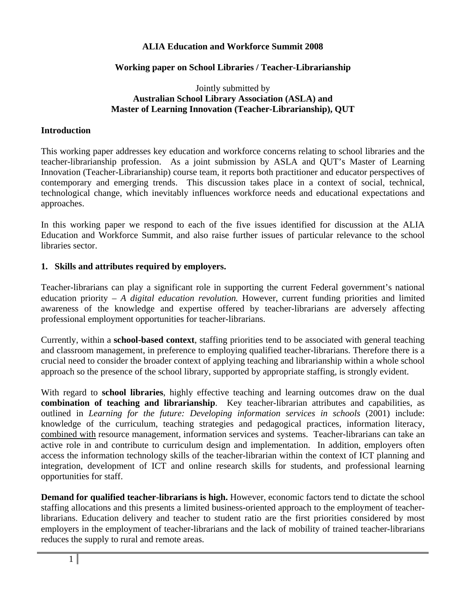### **ALIA Education and Workforce Summit 2008**

### **Working paper on School Libraries / Teacher-Librarianship**

#### Jointly submitted by **Australian School Library Association (ASLA) and Master of Learning Innovation (Teacher-Librarianship), QUT**

#### **Introduction**

This working paper addresses key education and workforce concerns relating to school libraries and the teacher-librarianship profession. As a joint submission by ASLA and QUT's Master of Learning Innovation (Teacher-Librarianship) course team, it reports both practitioner and educator perspectives of contemporary and emerging trends. This discussion takes place in a context of social, technical, technological change, which inevitably influences workforce needs and educational expectations and approaches.

In this working paper we respond to each of the five issues identified for discussion at the ALIA Education and Workforce Summit, and also raise further issues of particular relevance to the school libraries sector.

#### **1. Skills and attributes required by employers.**

Teacher-librarians can play a significant role in supporting the current Federal government's national education priority – *A digital education revolution.* However, current funding priorities and limited awareness of the knowledge and expertise offered by teacher-librarians are adversely affecting professional employment opportunities for teacher-librarians.

Currently, within a **school-based context**, staffing priorities tend to be associated with general teaching and classroom management, in preference to employing qualified teacher-librarians. Therefore there is a crucial need to consider the broader context of applying teaching and librarianship within a whole school approach so the presence of the school library, supported by appropriate staffing, is strongly evident.

With regard to **school libraries**, highly effective teaching and learning outcomes draw on the dual **combination of teaching and librarianship**. Key teacher-librarian attributes and capabilities, as outlined in *Learning for the future: Developing information services in schools* (2001) include: knowledge of the curriculum, teaching strategies and pedagogical practices, information literacy, combined with resource management, information services and systems. Teacher-librarians can take an active role in and contribute to curriculum design and implementation. In addition, employers often access the information technology skills of the teacher-librarian within the context of ICT planning and integration, development of ICT and online research skills for students, and professional learning opportunities for staff.

**Demand for qualified teacher-librarians is high.** However, economic factors tend to dictate the school staffing allocations and this presents a limited business-oriented approach to the employment of teacherlibrarians. Education delivery and teacher to student ratio are the first priorities considered by most employers in the employment of teacher-librarians and the lack of mobility of trained teacher-librarians reduces the supply to rural and remote areas.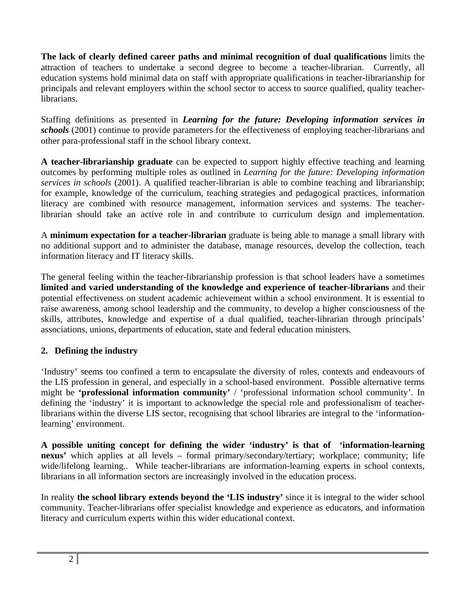**The lack of clearly defined career paths and minimal recognition of dual qualifications** limits the attraction of teachers to undertake a second degree to become a teacher-librarian. Currently, all education systems hold minimal data on staff with appropriate qualifications in teacher-librarianship for principals and relevant employers within the school sector to access to source qualified, quality teacherlibrarians.

Staffing definitions as presented in *Learning for the future: Developing information services in schools* (2001) continue to provide parameters for the effectiveness of employing teacher-librarians and other para-professional staff in the school library context.

**A teacher-librarianship graduate** can be expected to support highly effective teaching and learning outcomes by performing multiple roles as outlined in *Learning for the future: Developing information services in schools* (2001). A qualified teacher-librarian is able to combine teaching and librarianship; for example, knowledge of the curriculum, teaching strategies and pedagogical practices, information literacy are combined with resource management, information services and systems. The teacherlibrarian should take an active role in and contribute to curriculum design and implementation.

A **minimum expectation for a teacher-librarian** graduate is being able to manage a small library with no additional support and to administer the database, manage resources, develop the collection, teach information literacy and IT literacy skills.

The general feeling within the teacher-librarianship profession is that school leaders have a sometimes **limited and varied understanding of the knowledge and experience of teacher-librarians** and their potential effectiveness on student academic achievement within a school environment. It is essential to raise awareness, among school leadership and the community, to develop a higher consciousness of the skills, attributes, knowledge and expertise of a dual qualified, teacher-librarian through principals' associations, unions, departments of education, state and federal education ministers.

# **2. Defining the industry**

'Industry' seems too confined a term to encapsulate the diversity of roles, contexts and endeavours of the LIS profession in general, and especially in a school-based environment. Possible alternative terms might be **'professional information community'** / 'professional information school community'. In defining the 'industry' it is important to acknowledge the special role and professionalism of teacherlibrarians within the diverse LIS sector, recognising that school libraries are integral to the 'informationlearning' environment.

**A possible uniting concept for defining the wider 'industry' is that of 'information-learning nexus'** which applies at all levels – formal primary/secondary/tertiary; workplace; community; life wide/lifelong learning.. While teacher-librarians are information-learning experts in school contexts, librarians in all information sectors are increasingly involved in the education process.

In reality **the school library extends beyond the 'LIS industry'** since it is integral to the wider school community. Teacher-librarians offer specialist knowledge and experience as educators, and information literacy and curriculum experts within this wider educational context.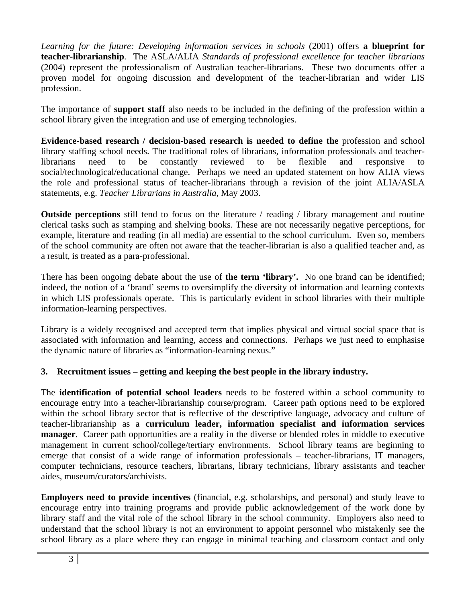*Learning for the future: Developing information services in schools* (2001) offers **a blueprint for teacher-librarianship**. The ASLA/ALIA *Standards of professional excellence for teacher librarians* (2004) represent the professionalism of Australian teacher-librarians. These two documents offer a proven model for ongoing discussion and development of the teacher-librarian and wider LIS profession.

The importance of **support staff** also needs to be included in the defining of the profession within a school library given the integration and use of emerging technologies.

**Evidence-based research / decision-based research is needed to define the** profession and school library staffing school needs. The traditional roles of librarians, information professionals and teacherlibrarians need to be constantly reviewed to be flexible and responsive to social/technological/educational change. Perhaps we need an updated statement on how ALIA views the role and professional status of teacher-librarians through a revision of the joint ALIA/ASLA statements, e.g. *Teacher Librarians in Australia*, May 2003.

**Outside perceptions** still tend to focus on the literature / reading / library management and routine clerical tasks such as stamping and shelving books. These are not necessarily negative perceptions, for example, literature and reading (in all media) are essential to the school curriculum. Even so, members of the school community are often not aware that the teacher-librarian is also a qualified teacher and, as a result, is treated as a para-professional.

There has been ongoing debate about the use of **the term 'library'.** No one brand can be identified; indeed, the notion of a 'brand' seems to oversimplify the diversity of information and learning contexts in which LIS professionals operate. This is particularly evident in school libraries with their multiple information-learning perspectives.

Library is a widely recognised and accepted term that implies physical and virtual social space that is associated with information and learning, access and connections. Perhaps we just need to emphasise the dynamic nature of libraries as "information-learning nexus."

# **3. Recruitment issues – getting and keeping the best people in the library industry.**

The **identification of potential school leaders** needs to be fostered within a school community to encourage entry into a teacher-librarianship course/program. Career path options need to be explored within the school library sector that is reflective of the descriptive language, advocacy and culture of teacher-librarianship as a **curriculum leader, information specialist and information services manager**. Career path opportunities are a reality in the diverse or blended roles in middle to executive management in current school/college/tertiary environments. School library teams are beginning to emerge that consist of a wide range of information professionals – teacher-librarians, IT managers, computer technicians, resource teachers, librarians, library technicians, library assistants and teacher aides, museum/curators/archivists.

**Employers need to provide incentives** (financial, e.g. scholarships, and personal) and study leave to encourage entry into training programs and provide public acknowledgement of the work done by library staff and the vital role of the school library in the school community. Employers also need to understand that the school library is not an environment to appoint personnel who mistakenly see the school library as a place where they can engage in minimal teaching and classroom contact and only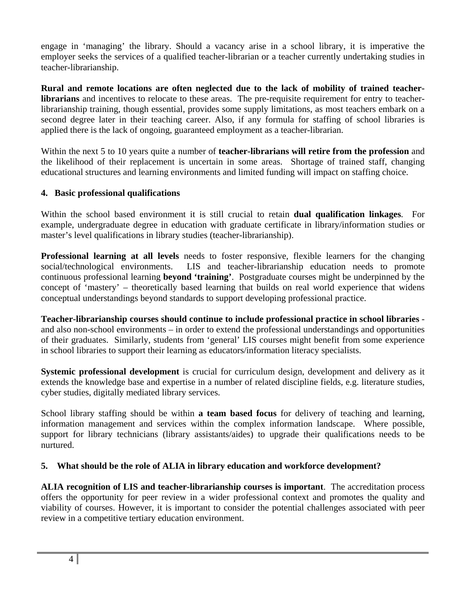engage in 'managing' the library. Should a vacancy arise in a school library, it is imperative the employer seeks the services of a qualified teacher-librarian or a teacher currently undertaking studies in teacher-librarianship.

**Rural and remote locations are often neglected due to the lack of mobility of trained teacherlibrarians** and incentives to relocate to these areas. The pre-requisite requirement for entry to teacherlibrarianship training, though essential, provides some supply limitations, as most teachers embark on a second degree later in their teaching career. Also, if any formula for staffing of school libraries is applied there is the lack of ongoing, guaranteed employment as a teacher-librarian.

Within the next 5 to 10 years quite a number of **teacher-librarians will retire from the profession** and the likelihood of their replacement is uncertain in some areas. Shortage of trained staff, changing educational structures and learning environments and limited funding will impact on staffing choice.

### **4. Basic professional qualifications**

Within the school based environment it is still crucial to retain **dual qualification linkages**. For example, undergraduate degree in education with graduate certificate in library/information studies or master's level qualifications in library studies (teacher-librarianship).

**Professional learning at all levels** needs to foster responsive, flexible learners for the changing social/technological environments. LIS and teacher-librarianship education needs to promote continuous professional learning **beyond 'training'**. Postgraduate courses might be underpinned by the concept of 'mastery' – theoretically based learning that builds on real world experience that widens conceptual understandings beyond standards to support developing professional practice.

**Teacher-librarianship courses should continue to include professional practice in school libraries** and also non-school environments – in order to extend the professional understandings and opportunities of their graduates. Similarly, students from 'general' LIS courses might benefit from some experience in school libraries to support their learning as educators/information literacy specialists.

**Systemic professional development** is crucial for curriculum design, development and delivery as it extends the knowledge base and expertise in a number of related discipline fields, e.g. literature studies, cyber studies, digitally mediated library services.

School library staffing should be within **a team based focus** for delivery of teaching and learning, information management and services within the complex information landscape. Where possible, support for library technicians (library assistants/aides) to upgrade their qualifications needs to be nurtured.

# **5. What should be the role of ALIA in library education and workforce development?**

**ALIA recognition of LIS and teacher-librarianship courses is important**. The accreditation process offers the opportunity for peer review in a wider professional context and promotes the quality and viability of courses. However, it is important to consider the potential challenges associated with peer review in a competitive tertiary education environment.